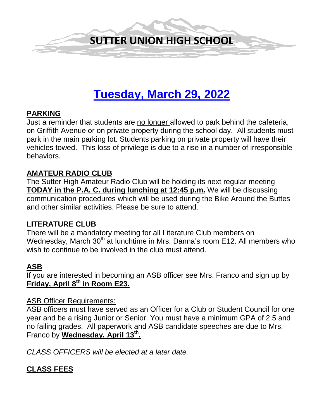

# **Tuesday, March 29, 2022**

#### **PARKING**

Just a reminder that students are no longer allowed to park behind the cafeteria, on Griffith Avenue or on private property during the school day. All students must park in the main parking lot. Students parking on private property will have their vehicles towed. This loss of privilege is due to a rise in a number of irresponsible behaviors.

#### **AMATEUR RADIO CLUB**

The Sutter High Amateur Radio Club will be holding its next regular meeting **TODAY in the P.A. C. during lunching at 12:45 p.m.** We will be discussing communication procedures which will be used during the Bike Around the Buttes and other similar activities. Please be sure to attend.

# **LITERATURE CLUB**

There will be a mandatory meeting for all Literature Club members on Wednesday, March 30<sup>th</sup> at lunchtime in Mrs. Danna's room E12. All members who wish to continue to be involved in the club must attend.

# **ASB**

If you are interested in becoming an ASB officer see Mrs. Franco and sign up by **Friday, April 8th in Room E23.**

#### ASB Officer Requirements:

ASB officers must have served as an Officer for a Club or Student Council for one year and be a rising Junior or Senior. You must have a minimum GPA of 2.5 and no failing grades. All paperwork and ASB candidate speeches are due to Mrs. Franco by **Wednesday, April 13th.** 

*CLASS OFFICERS will be elected at a later date.* 

# **CLASS FEES**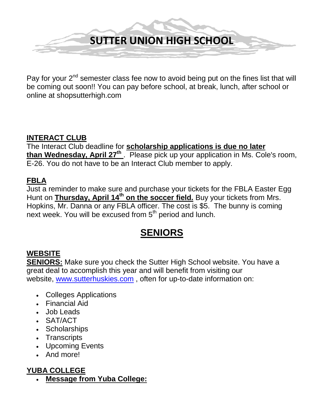

Pay for your  $2^{nd}$  semester class fee now to avoid being put on the fines list that will be coming out soon!! You can pay before school, at break, lunch, after school or online at shopsutterhigh.com

# **INTERACT CLUB**

The Interact Club deadline for **scholarship applications is due no later than Wednesday, April 27<sup>th</sup>**. Please pick up your application in Ms. Cole's room, E-26. You do not have to be an Interact Club member to apply.

# **FBLA**

Just a reminder to make sure and purchase your tickets for the FBLA Easter Egg Hunt on **Thursday, April 14<sup>th</sup> on the soccer field.** Buy your tickets from Mrs. Hopkins, Mr. Danna or any FBLA officer. The cost is \$5. The bunny is coming next week. You will be excused from 5<sup>th</sup> period and lunch.

# **SENIORS**

# **WEBSITE**

**SENIORS:** Make sure you check the Sutter High School website. You have a great deal to accomplish this year and will benefit from visiting our website, [www.sutterhuskies.com](http://www.sutterhuskies.com/) , often for up-to-date information on:

- Colleges Applications
- Financial Aid
- Job Leads
- SAT/ACT
- Scholarships
- Transcripts
- Upcoming Events
- And more!

# **YUBA COLLEGE**

• **Message from Yuba College:**